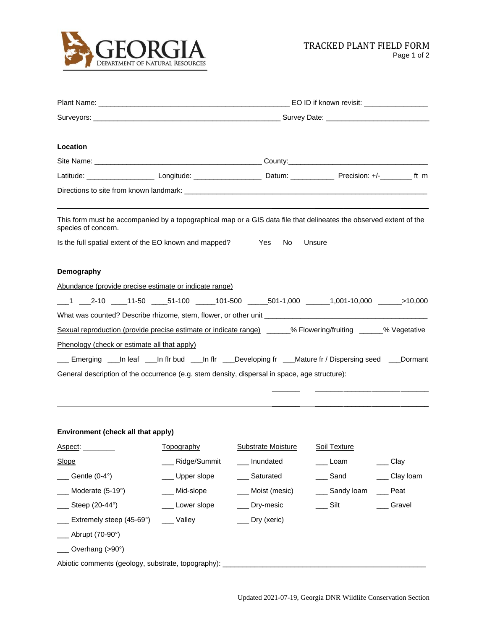

| Location                                                                                                                                  |                |                    |                                                                                                                                              |           |  |  |  |  |
|-------------------------------------------------------------------------------------------------------------------------------------------|----------------|--------------------|----------------------------------------------------------------------------------------------------------------------------------------------|-----------|--|--|--|--|
|                                                                                                                                           |                |                    |                                                                                                                                              |           |  |  |  |  |
|                                                                                                                                           |                |                    | Latitude: ____________________________Longitude: __________________________Datum: ____________________________ Precision: +/-__________ ft m |           |  |  |  |  |
|                                                                                                                                           |                |                    |                                                                                                                                              |           |  |  |  |  |
| This form must be accompanied by a topographical map or a GIS data file that delineates the observed extent of the<br>species of concern. |                |                    |                                                                                                                                              |           |  |  |  |  |
| Is the full spatial extent of the EO known and mapped?                                                                                    |                | Yes No             | Unsure                                                                                                                                       |           |  |  |  |  |
| Demography                                                                                                                                |                |                    |                                                                                                                                              |           |  |  |  |  |
| Abundance (provide precise estimate or indicate range)                                                                                    |                |                    |                                                                                                                                              |           |  |  |  |  |
| ___1 ____2-10 _____11-50 _____51-100 ______101-500 ______501-1,000 _______1,001-10,000 ______>10,000                                      |                |                    |                                                                                                                                              |           |  |  |  |  |
|                                                                                                                                           |                |                    |                                                                                                                                              |           |  |  |  |  |
| Sexual reproduction (provide precise estimate or indicate range) _____% Flowering/fruiting ______% Vegetative                             |                |                    |                                                                                                                                              |           |  |  |  |  |
| Phenology (check or estimate all that apply)                                                                                              |                |                    |                                                                                                                                              |           |  |  |  |  |
| Emerging ___In leaf ___In fir bud ___In fir ___Developing fr ___Mature fr / Dispersing seed ___Dormant                                    |                |                    |                                                                                                                                              |           |  |  |  |  |
| General description of the occurrence (e.g. stem density, dispersal in space, age structure):                                             |                |                    |                                                                                                                                              |           |  |  |  |  |
|                                                                                                                                           |                |                    |                                                                                                                                              |           |  |  |  |  |
|                                                                                                                                           |                |                    |                                                                                                                                              |           |  |  |  |  |
|                                                                                                                                           |                |                    |                                                                                                                                              |           |  |  |  |  |
| Environment (check all that apply)                                                                                                        |                |                    |                                                                                                                                              |           |  |  |  |  |
| Aspect: ________                                                                                                                          | Topography     | Substrate Moisture | Soil Texture                                                                                                                                 |           |  |  |  |  |
| Slope                                                                                                                                     | Ridge/Summit   | Inundated          | __ Loam                                                                                                                                      | Clay      |  |  |  |  |
| Gentle (0-4°)                                                                                                                             | Upper slope    | Saturated          | Sand                                                                                                                                         | Clay loam |  |  |  |  |
| Moderate (5-19°)                                                                                                                          | Mid-slope      | Moist (mesic)      | __ Sandy loam                                                                                                                                | Peat      |  |  |  |  |
| Steep (20-44°)                                                                                                                            | __ Lower slope | __ Dry-mesic       | __ Silt                                                                                                                                      | Gravel    |  |  |  |  |
| Extremely steep (45-69°)                                                                                                                  | __ Valley      | Dry (xeric)        |                                                                                                                                              |           |  |  |  |  |
| Abrupt (70-90°)                                                                                                                           |                |                    |                                                                                                                                              |           |  |  |  |  |
| Overhang (>90°)                                                                                                                           |                |                    |                                                                                                                                              |           |  |  |  |  |
|                                                                                                                                           |                |                    |                                                                                                                                              |           |  |  |  |  |

Abiotic comments (geology, substrate, topography): \_